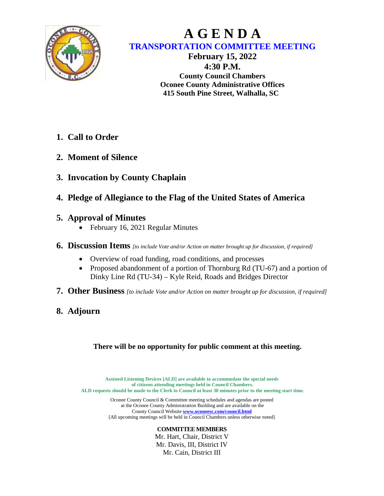

## **A G E N D A TRANSPORTATION COMMITTEE MEETING**

**February 15, 2022 4:30 P.M. County Council Chambers Oconee County Administrative Offices 415 South Pine Street, Walhalla, SC**

- **1. Call to Order**
- **2. Moment of Silence**
- **3. Invocation by County Chaplain**
- **4. Pledge of Allegiance to the Flag of the United States of America**
- **5. Approval of Minutes**
	- February 16, 2021 Regular Minutes
- **6. Discussion Items** *[to include Vote and/or Action on matter brought up for discussion, if required]*
	- Overview of road funding, road conditions, and processes
	- Proposed abandonment of a portion of Thornburg Rd (TU-67) and a portion of Dinky Line Rd (TU-34) – Kyle Reid, Roads and Bridges Director
- **7. Other Business** *[to include Vote and/or Action on matter brought up for discussion, if required]*
- **8. Adjourn**

## **There will be no opportunity for public comment at this meeting.**

**Assisted Listening Devices [ALD] are available to accommodate the special needs of citizens attending meetings held in Council Chambers. ALD requests should be made to the Clerk to Council at least 30 minutes prior to the meeting start time.**

> Oconee County Council & Committee meeting schedules and agendas are posted at the Oconee County Administration Building and are available on the County Council Website **[www.oconeesc.com/council.html](http://www.oconeesc.com/council.html)** [All upcoming meetings will be held in Council Chambers unless otherwise noted]

## **COMMITTEE MEMBERS**

Mr. Hart, Chair, District V Mr. Davis, III, District IV Mr. Cain, District III